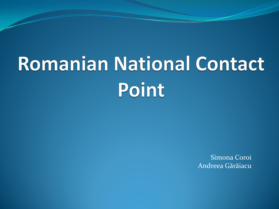# **Romanian National Contact** Point

Simona Coroi Andreea Gărăiacu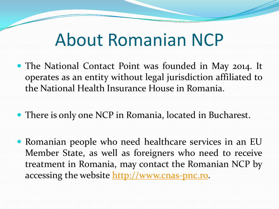## About Romanian NCP

- The National Contact Point was founded in May 2014. It operates as an entity without legal jurisdiction affiliated to the National Health Insurance House in Romania.
- There is only one NCP in Romania, located in Bucharest.
- Romanian people who need healthcare services in an EU Member State, as well as foreigners who need to receive treatment in Romania, may contact the Romanian NCP by accessing the website [http://www.](http://www.cnas-pnc.ro/)[cnas](http://www.cnas-pnc.ro/)[-](http://www.cnas-pnc.ro/)[pnc](http://www.cnas-pnc.ro/)[.ro.](http://www.cnas-pnc.ro/)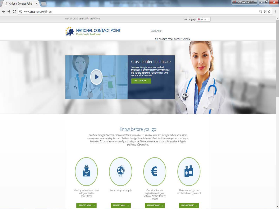

#### Know before you go

You have the right to receive medical treatment in another EU Member State and the right to have your home country cover some or all of the costs. You have the right to be informed about the treatment options open to you,<br>how other EU countries ensure quality and safety in healthcare, and whether a particular provider is legall entitled to offer services.





FIND OUT MORE



Check the financial Implications with your National Contact Point or **Insurer** 

FIND OUT MORE

旨



Make sure you get the medical followup you need

**FIND OUT MORE**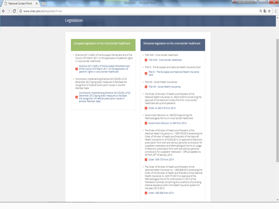C

(i) www.cnas-pnc.ro/legislatie?l=en

只面立

#### Legislation

#### European legislation on the cross-border healthcare:

• Directive 2011/24/EU of the European Parliament and of the Council of 9 March 2011 on the application of patients' rights in cross-border healthcare:

#### Directive 2011/24/EU of the European Parliament and A of the Council of 9 March 2011 on the application of patients' rights in cross-border healthcare:

• Commission Implementing Directive 2012/52/EU of 20 December 2012 laying down measures to facilitate the recognition of medical prescription issued in another Member State:

Commission Implementing Directive 2012/52/EU of 20 December 2012 laying down measures to facilitate the recognition of medical prescription issued in another Member State

#### Romanian legislation on the cross-border healthcare:

- · Title XVIII Cross border healthcare
- Title XVIII Cross border healthcare
- · Title IX The European and National Health Insurance Card

Title IX - The European and National Health Insurance<br>Card

- · Title VIII Social Health Insurances
- X Title VIII Social Health Insurances
- The Order of Minister of Health and President of the National Health Insurance no. 340/214/2014 concerning the approval of the National Contact Point for cross-border healthcare set-up and operation:
- Order no 340 214 from 2014
- Government Decision no. 340/2014 approving the Methodological Norms on cross-border healthcare:
- & Government Decision no 304 from 2014
- The Order of Minister of Health and President of the National Health Insurance no. 1.509/733/2014 amending the Order of Minister of Health and President of the National Health Insurance no. 674/252/2012 on approval of electronic prescription form with and without personal contribution for outpatient medication and Methodological Norms on usage of electronic prescription form with and without personal contribution for outpatient medication - Official Gazette no. 43 from 20<sup>th</sup> of January 2014:
- Order 1509 733 from 2014
- The Order of Minister of Health and President of the National Health Insurance no. 1.083/608/2013 amending the Order of the Minister of Health and President of the National Health Insurance no. 423/191/2013 on approval of the Methodological Norms for enforcement in 2013 of the Framework Contract concerning the conditions of providing medical assistance within the Health Insurance System for the years 2013-2014:
	- **J.** Order 1083 608 from 2013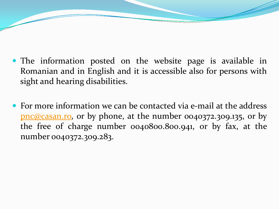- The information posted on the website page is available in Romanian and in English and it is accessible also for persons with sight and hearing disabilities.
- For more information we can be contacted via e-mail at the address [pnc@casan](mailto:pnc@casan.ro)[.ro](mailto:pnc@casan.ro), or by phone, at the number 0040372.309.135, or by the free of charge number 0040800.800.941, or by fax, at the number 0040372.309.283.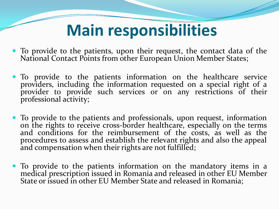## **Main responsibilities**

- To provide to the patients, upon their request, the contact data of the National Contact Points from other European Union Member States;
- To provide to the patients information on the healthcare service providers, including the information requested on a special right of a provider to provide such services or on any restrictions of their professional activity;
- To provide to the patients and professionals, upon request, information on the rights to receive cross-border healthcare, especially on the terms and conditions for the reimbursement of the costs, as well as the procedures to assess and establish the relevant rights and also the appeal and compensation when their rights are not fulfilled;
- To provide to the patients information on the mandatory items in a medical prescription issued in Romania and released in other EU Member State or issued in other EU Member State and released in Romania;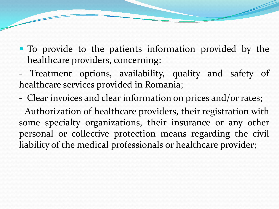- To provide to the patients information provided by the healthcare providers, concerning:
- Treatment options, availability, quality and safety of healthcare services provided in Romania;
- Clear invoices and clear information on prices and/or rates;

- Authorization of healthcare providers, their registration with some specialty organizations, their insurance or any other personal or collective protection means regarding the civil liability of the medical professionals or healthcare provider;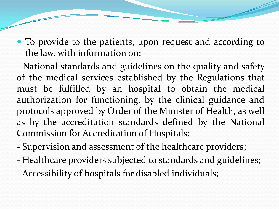• To provide to the patients, upon request and according to the law, with information on:

- National standards and guidelines on the quality and safety of the medical services established by the Regulations that must be fulfilled by an hospital to obtain the medical authorization for functioning, by the clinical guidance and protocols approved by Order of the Minister of Health, as well as by the accreditation standards defined by the National Commission for Accreditation of Hospitals;

- Supervision and assessment of the healthcare providers;
- Healthcare providers subjected to standards and guidelines;
- Accessibility of hospitals for disabled individuals;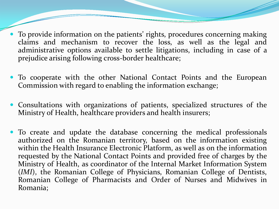- To provide information on the patients' rights, procedures concerning making claims and mechanism to recover the loss, as well as the legal and administrative options available to settle litigations, including in case of a prejudice arising following cross-border healthcare;
- To cooperate with the other National Contact Points and the European Commission with regard to enabling the information exchange;
- Consultations with organizations of patients, specialized structures of the Ministry of Health, healthcare providers and health insurers;
- To create and update the database concerning the medical professionals authorized on the Romanian territory, based on the information existing within the Health Insurance Electronic Platform, as well as on the information requested by the National Contact Points and provided free of charges by the Ministry of Health, as coordinator of the Internal Market Information System (*IMI*), the Romanian College of Physicians, Romanian College of Dentists, Romanian College of Pharmacists and Order of Nurses and Midwives in Romania;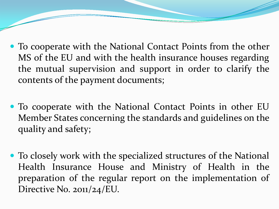- To cooperate with the National Contact Points from the other MS of the EU and with the health insurance houses regarding the mutual supervision and support in order to clarify the contents of the payment documents;
- To cooperate with the National Contact Points in other EU Member States concerning the standards and guidelines on the quality and safety;
- To closely work with the specialized structures of the National Health Insurance House and Ministry of Health in the preparation of the regular report on the implementation of Directive No. 2011/24/EU.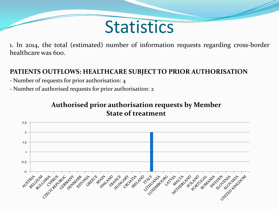## **Statistics**

1. In 2014, the total (estimated) number of information requests regarding cross-border healthcare was 600.

### **PATIENTS OUTFLOWS: HEALTHCARE SUBJECT TO PRIOR AUTHORISATION**

- Number of requests for prior authorisation: 4
- Number of authorised requests for prior authorisation: 2

### **Authorised prior authorisation requests by Member State of treatment**

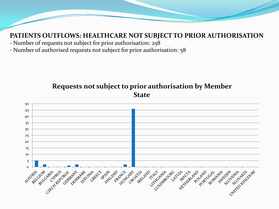#### **PATIENTS OUTFLOWS: HEALTHCARE NOT SUBJECT TO PRIOR AUTHORISATION**

- Number of requests not subject for prior authorisation: 258
- Number of authorised requests not subject for prior authorisation: 58

#### **Requests not subject to prior authorisation by Member State**

![](_page_11_Figure_4.jpeg)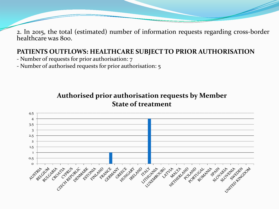2. In 2015, the total (estimated) number of information requests regarding cross-border healthcare was 800.

### **PATIENTS OUTFLOWS: HEALTHCARE SUBJECT TO PRIOR AUTHORISATION**

- Number of requests for prior authorisation: 7
- Number of authorised requests for prior authorisation: 5

### **Authorised prior authorisation requests by Member State of treatment**

![](_page_12_Figure_5.jpeg)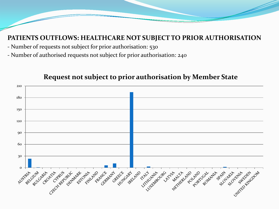#### **PATIENTS OUTFLOWS: HEALTHCARE NOT SUBJECT TO PRIOR AUTHORISATION**

- Number of requests not subject for prior authorisation: 530
- Number of authorised requests not subject for prior authorisation: 240

![](_page_13_Figure_3.jpeg)

#### **Request not subject to prior authorisation by Member State**